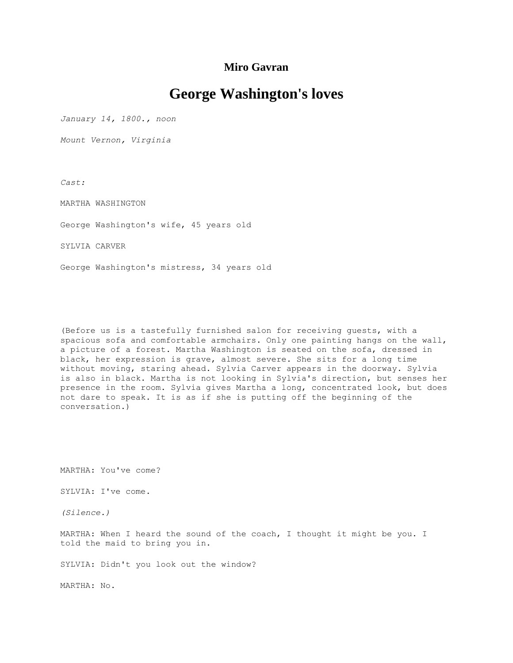## **Miro Gavran**

## **George Washington's loves**

*January 14, 1800., noon*

*Mount Vernon, Virginia*

*Cast:*

MARTHA WASHINGTON

George Washington's wife, 45 years old

SYLVIA CARVER

George Washington's mistress, 34 years old

(Before us is a tastefully furnished salon for receiving guests, with a spacious sofa and comfortable armchairs. Only one painting hangs on the wall, a picture of a forest. Martha Washington is seated on the sofa, dressed in black, her expression is grave, almost severe. She sits for a long time without moving, staring ahead. Sylvia Carver appears in the doorway. Sylvia is also in black. Martha is not looking in Sylvia's direction, but senses her presence in the room. Sylvia gives Martha a long, concentrated look, but does not dare to speak. It is as if she is putting off the beginning of the conversation.)

MARTHA: You've come?

SYLVIA: I've come.

*(Silence.)*

MARTHA: When I heard the sound of the coach, I thought it might be you. I told the maid to bring you in.

SYLVIA: Didn't you look out the window?

MARTHA: No.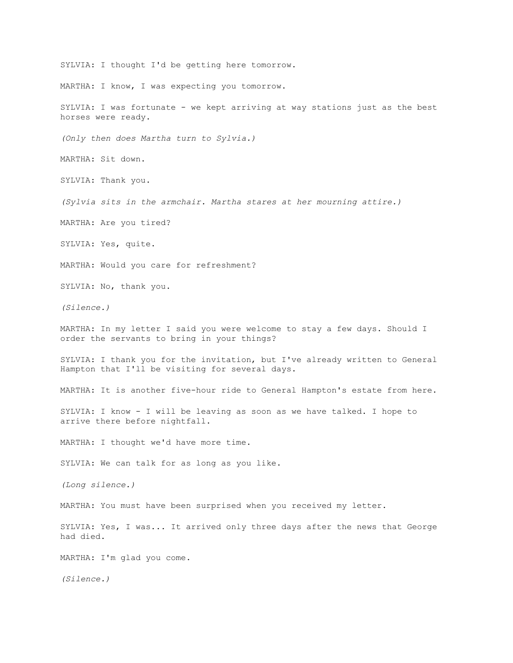SYLVIA: I thought I'd be getting here tomorrow. MARTHA: I know, I was expecting you tomorrow. SYLVIA: I was fortunate - we kept arriving at way stations just as the best horses were ready. *(Only then does Martha turn to Sylvia.)* MARTHA: Sit down. SYLVIA: Thank you. *(Sylvia sits in the armchair. Martha stares at her mourning attire.)* MARTHA: Are you tired? SYLVIA: Yes, quite. MARTHA: Would you care for refreshment? SYLVIA: No, thank you. *(Silence.)* MARTHA: In my letter I said you were welcome to stay a few days. Should I order the servants to bring in your things? SYLVIA: I thank you for the invitation, but I've already written to General Hampton that I'll be visiting for several days. MARTHA: It is another five-hour ride to General Hampton's estate from here. SYLVIA: I know - I will be leaving as soon as we have talked. I hope to arrive there before nightfall. MARTHA: I thought we'd have more time. SYLVIA: We can talk for as long as you like. *(Long silence.)* MARTHA: You must have been surprised when you received my letter. SYLVIA: Yes, I was... It arrived only three days after the news that George had died. MARTHA: I'm glad you come. *(Silence.)*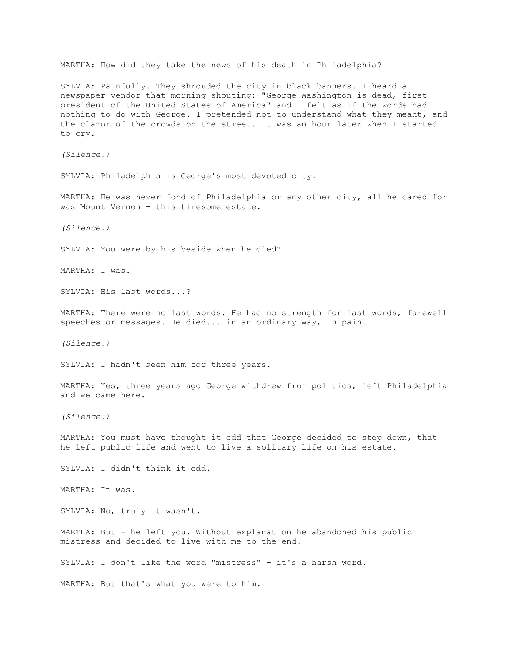MARTHA: How did they take the news of his death in Philadelphia? SYLVIA: Painfully. They shrouded the city in black banners. I heard a newspaper vendor that morning shouting: "George Washington is dead, first president of the United States of America" and I felt as if the words had nothing to do with George. I pretended not to understand what they meant, and the clamor of the crowds on the street. It was an hour later when I started to cry. *(Silence.)* SYLVIA: Philadelphia is George's most devoted city. MARTHA: He was never fond of Philadelphia or any other city, all he cared for was Mount Vernon - this tiresome estate. *(Silence.)* SYLVIA: You were by his beside when he died? MARTHA: I was. SYLVIA: His last words...? MARTHA: There were no last words. He had no strength for last words, farewell speeches or messages. He died... in an ordinary way, in pain. *(Silence.)* SYLVIA: I hadn't seen him for three years. MARTHA: Yes, three years ago George withdrew from politics, left Philadelphia and we came here. *(Silence.)* MARTHA: You must have thought it odd that George decided to step down, that he left public life and went to live a solitary life on his estate. SYLVIA: I didn't think it odd. MARTHA: It was. SYLVIA: No, truly it wasn't. MARTHA: But - he left you. Without explanation he abandoned his public mistress and decided to live with me to the end. SYLVIA: I don't like the word "mistress" - it's a harsh word. MARTHA: But that's what you were to him.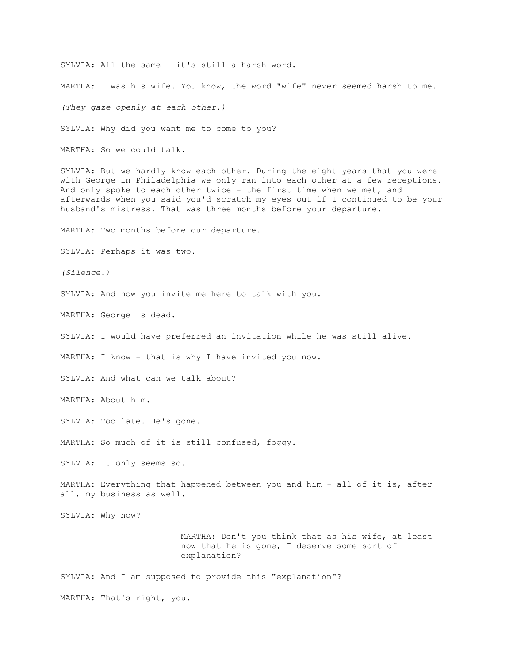SYLVIA: All the same - it's still a harsh word.

MARTHA: I was his wife. You know, the word "wife" never seemed harsh to me.

*(They gaze openly at each other.)*

SYLVIA: Why did you want me to come to you?

MARTHA: So we could talk.

SYLVIA: But we hardly know each other. During the eight years that you were with George in Philadelphia we only ran into each other at a few receptions. And only spoke to each other twice - the first time when we met, and afterwards when you said you'd scratch my eyes out if I continued to be your husband's mistress. That was three months before your departure.

MARTHA: Two months before our departure.

SYLVIA: Perhaps it was two.

*(Silence.)*

SYLVIA: And now you invite me here to talk with you.

MARTHA: George is dead.

SYLVIA: I would have preferred an invitation while he was still alive.

MARTHA: I know - that is why I have invited you now.

SYLVIA: And what can we talk about?

MARTHA: About him.

SYLVIA: Too late. He's gone.

MARTHA: So much of it is still confused, foggy.

SYLVIA; It only seems so.

MARTHA: Everything that happened between you and him - all of it is, after all, my business as well.

SYLVIA: Why now?

MARTHA: Don't you think that as his wife, at least now that he is gone, I deserve some sort of explanation?

SYLVIA: And I am supposed to provide this "explanation"?

MARTHA: That's right, you.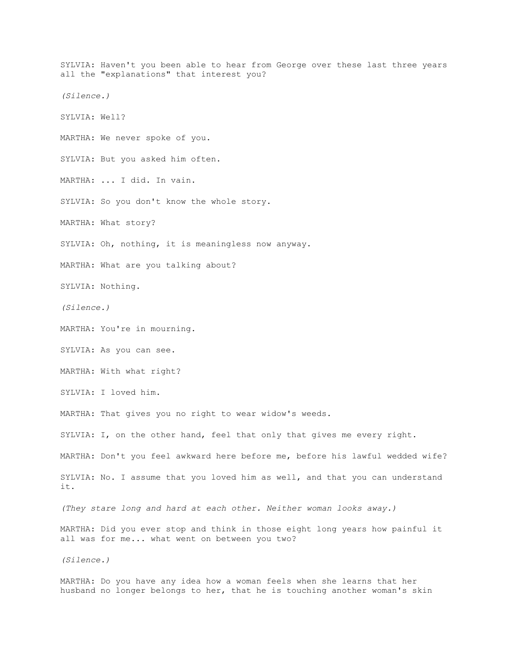SYLVIA: Haven't you been able to hear from George over these last three years all the "explanations" that interest you? *(Silence.)* SYLVIA: Well? MARTHA: We never spoke of you. SYLVIA: But you asked him often. MARTHA: ... I did. In vain. SYLVIA: So you don't know the whole story. MARTHA: What story? SYLVIA: Oh, nothing, it is meaningless now anyway. MARTHA: What are you talking about? SYLVIA: Nothing. *(Silence.)* MARTHA: You're in mourning. SYLVIA: As you can see. MARTHA: With what right? SYLVIA: I loved him. MARTHA: That gives you no right to wear widow's weeds. SYLVIA: I, on the other hand, feel that only that gives me every right. MARTHA: Don't you feel awkward here before me, before his lawful wedded wife? SYLVIA: No. I assume that you loved him as well, and that you can understand it. *(They stare long and hard at each other. Neither woman looks away.)*  MARTHA: Did you ever stop and think in those eight long years how painful it all was for me... what went on between you two? *(Silence.)*

MARTHA: Do you have any idea how a woman feels when she learns that her husband no longer belongs to her, that he is touching another woman's skin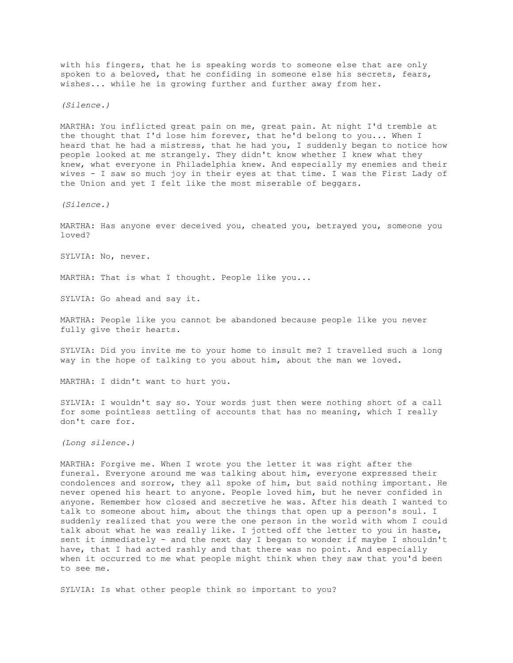with his fingers, that he is speaking words to someone else that are only spoken to a beloved, that he confiding in someone else his secrets, fears, wishes... while he is growing further and further away from her.

*(Silence.)*

MARTHA: You inflicted great pain on me, great pain. At night I'd tremble at the thought that I'd lose him forever, that he'd belong to you... When I heard that he had a mistress, that he had you, I suddenly began to notice how people looked at me strangely. They didn't know whether I knew what they knew, what everyone in Philadelphia knew. And especially my enemies and their wives - I saw so much joy in their eyes at that time. I was the First Lady of the Union and yet I felt like the most miserable of beggars.

*(Silence.)*

MARTHA: Has anyone ever deceived you, cheated you, betrayed you, someone you loved?

SYLVIA: No, never.

MARTHA: That is what I thought. People like you...

SYLVIA: Go ahead and say it.

MARTHA: People like you cannot be abandoned because people like you never fully give their hearts.

SYLVIA: Did you invite me to your home to insult me? I travelled such a long way in the hope of talking to you about him, about the man we loved.

MARTHA: I didn't want to hurt you.

SYLVIA: I wouldn't say so. Your words just then were nothing short of a call for some pointless settling of accounts that has no meaning, which I really don't care for.

*(Long silence.)*

MARTHA: Forgive me. When I wrote you the letter it was right after the funeral. Everyone around me was talking about him, everyone expressed their condolences and sorrow, they all spoke of him, but said nothing important. He never opened his heart to anyone. People loved him, but he never confided in anyone. Remember how closed and secretive he was. After his death I wanted to talk to someone about him, about the things that open up a person's soul. I suddenly realized that you were the one person in the world with whom I could talk about what he was really like. I jotted off the letter to you in haste, sent it immediately - and the next day I began to wonder if maybe I shouldn't have, that I had acted rashly and that there was no point. And especially when it occurred to me what people might think when they saw that you'd been to see me.

SYLVIA: Is what other people think so important to you?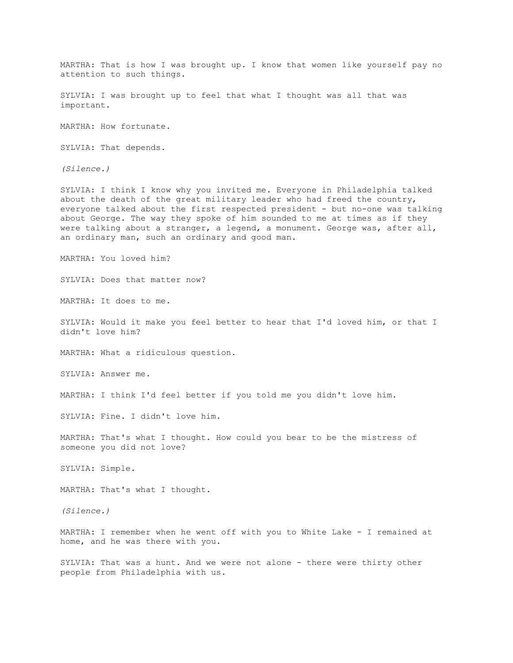MARTHA: That is how I was brought up. I know that women like yourself pay no attention to such things.

SYLVIA: I was brought up to feel that what I thought was all that was important.

MARTHA: How fortunate.

SYLVIA: That depends.

*(Silence.)*

SYLVIA: I think I know why you invited me. Everyone in Philadelphia talked about the death of the great military leader who had freed the country, everyone talked about the first respected president - but no-one was talking about George. The way they spoke of him sounded to me at times as if they were talking about a stranger, a legend, a monument. George was, after all, an ordinary man, such an ordinary and good man.

MARTHA: You loved him?

SYLVIA: Does that matter now?

MARTHA: It does to me.

SYLVIA: Would it make you feel better to hear that I'd loved him, or that I didn't love him?

MARTHA: What a ridiculous question.

SYLVIA: Answer me.

MARTHA: I think I'd feel better if you told me you didn't love him.

SYLVIA: Fine. I didn't love him.

MARTHA: That's what I thought. How could you bear to be the mistress of someone you did not love?

SYLVIA: Simple.

MARTHA: That's what I thought.

*(Silence.)*

MARTHA: I remember when he went off with you to White Lake - I remained at home, and he was there with you.

SYLVIA: That was a hunt. And we were not alone - there were thirty other people from Philadelphia with us.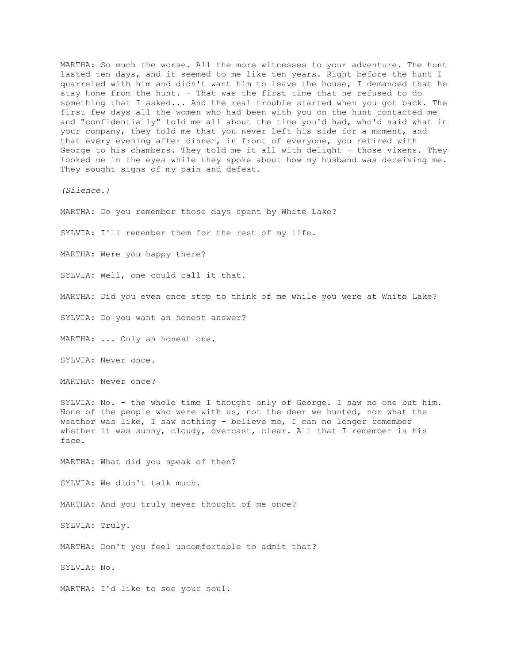MARTHA: So much the worse. All the more witnesses to your adventure. The hunt lasted ten days, and it seemed to me like ten years. Right before the hunt I quarreled with him and didn't want him to leave the house, I demanded that he stay home from the hunt. - That was the first time that he refused to do something that I asked... And the real trouble started when you got back. The first few days all the women who had been with you on the hunt contacted me and "confidentially" told me all about the time you'd had, who'd said what in your company, they told me that you never left his side for a moment, and that every evening after dinner, in front of everyone, you retired with George to his chambers. They told me it all with delight - those vixens. They looked me in the eyes while they spoke about how my husband was deceiving me. They sought signs of my pain and defeat.

*(Silence.)*

MARTHA: Do you remember those days spent by White Lake?

SYLVIA: I'll remember them for the rest of my life.

MARTHA: Were you happy there?

SYLVIA: Well, one could call it that.

MARTHA: Did you even once stop to think of me while you were at White Lake?

SYLVIA: Do you want an honest answer?

MARTHA: ... Only an honest one.

SYLVIA: Never once.

MARTHA: Never once?

SYLVIA: No. - the whole time I thought only of George. I saw no one but him. None of the people who were with us, not the deer we hunted, nor what the weather was like, I saw nothing - believe me, I can no longer remember whether it was sunny, cloudy, overcast, clear. All that I remember is his face.

MARTHA: What did you speak of then?

SYLVIA: We didn't talk much.

MARTHA: And you truly never thought of me once?

SYLVIA: Truly.

MARTHA: Don't you feel uncomfortable to admit that?

SYLVIA: No.

MARTHA: I'd like to see your soul.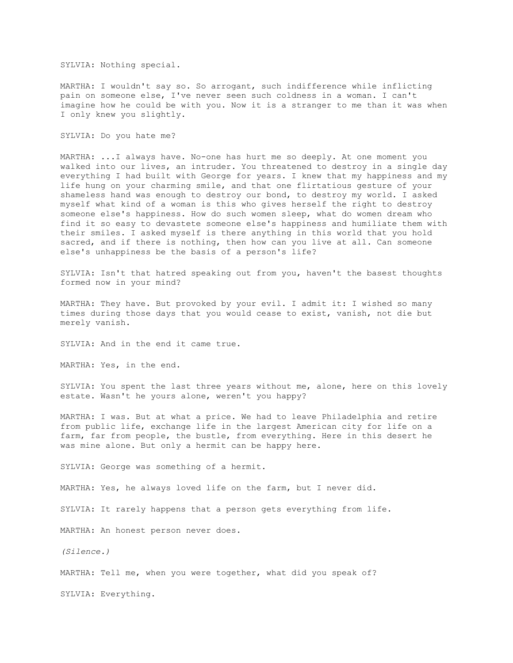SYLVIA: Nothing special.

MARTHA: I wouldn't say so. So arrogant, such indifference while inflicting pain on someone else, I've never seen such coldness in a woman. I can't imagine how he could be with you. Now it is a stranger to me than it was when I only knew you slightly.

SYLVIA: Do you hate me?

MARTHA: ...I always have. No-one has hurt me so deeply. At one moment you walked into our lives, an intruder. You threatened to destroy in a single day everything I had built with George for years. I knew that my happiness and my life hung on your charming smile, and that one flirtatious gesture of your shameless hand was enough to destroy our bond, to destroy my world. I asked myself what kind of a woman is this who gives herself the right to destroy someone else's happiness. How do such women sleep, what do women dream who find it so easy to devastete someone else's happiness and humiliate them with their smiles. I asked myself is there anything in this world that you hold sacred, and if there is nothing, then how can you live at all. Can someone else's unhappiness be the basis of a person's life?

SYLVIA: Isn't that hatred speaking out from you, haven't the basest thoughts formed now in your mind?

MARTHA: They have. But provoked by your evil. I admit it: I wished so many times during those days that you would cease to exist, vanish, not die but merely vanish.

SYLVIA: And in the end it came true.

MARTHA: Yes, in the end.

SYLVIA: You spent the last three years without me, alone, here on this lovely estate. Wasn't he yours alone, weren't you happy?

MARTHA: I was. But at what a price. We had to leave Philadelphia and retire from public life, exchange life in the largest American city for life on a farm, far from people, the bustle, from everything. Here in this desert he was mine alone. But only a hermit can be happy here.

SYLVIA: George was something of a hermit.

MARTHA: Yes, he always loved life on the farm, but I never did.

SYLVIA: It rarely happens that a person gets everything from life.

MARTHA: An honest person never does.

*(Silence.)*

MARTHA: Tell me, when you were together, what did you speak of?

SYLVIA: Everything.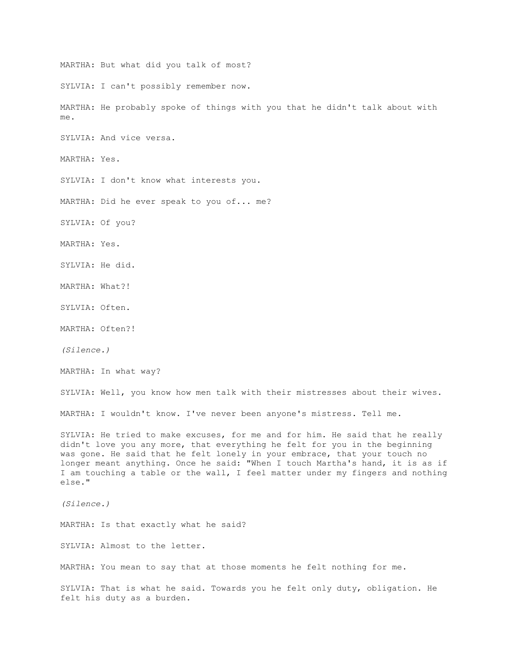MARTHA: But what did you talk of most? SYLVIA: I can't possibly remember now. MARTHA: He probably spoke of things with you that he didn't talk about with me. SYLVIA: And vice versa. MARTHA: Yes. SYLVIA: I don't know what interests you. MARTHA: Did he ever speak to you of... me? SYLVIA: Of you? MARTHA: Yes. SYLVIA: He did. MARTHA: What?! SYLVIA: Often. MARTHA: Often?! *(Silence.)* MARTHA: In what way? SYLVIA: Well, you know how men talk with their mistresses about their wives. MARTHA: I wouldn't know. I've never been anyone's mistress. Tell me. SYLVIA: He tried to make excuses, for me and for him. He said that he really didn't love you any more, that everything he felt for you in the beginning was gone. He said that he felt lonely in your embrace, that your touch no longer meant anything. Once he said: "When I touch Martha's hand, it is as if I am touching a table or the wall, I feel matter under my fingers and nothing else." *(Silence.)* MARTHA: Is that exactly what he said? SYLVIA: Almost to the letter. MARTHA: You mean to say that at those moments he felt nothing for me. SYLVIA: That is what he said. Towards you he felt only duty, obligation. He felt his duty as a burden.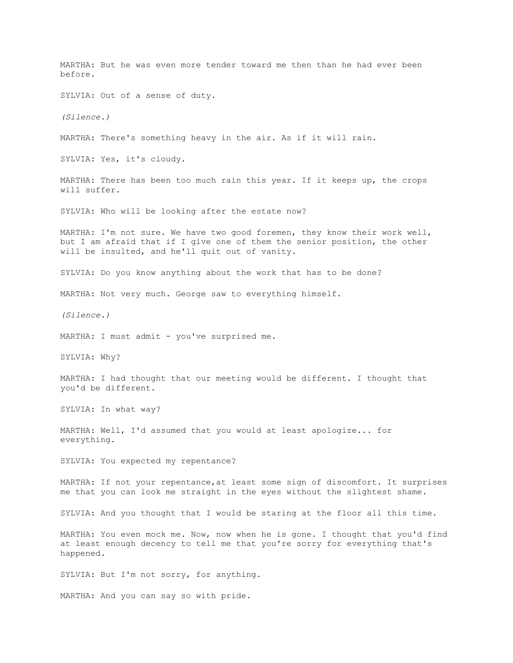MARTHA: But he was even more tender toward me then than he had ever been before. SYLVIA: Out of a sense of duty. *(Silence.)* MARTHA: There's something heavy in the air. As if it will rain. SYLVIA: Yes, it's cloudy. MARTHA: There has been too much rain this year. If it keeps up, the crops will suffer. SYLVIA: Who will be looking after the estate now? MARTHA: I'm not sure. We have two good foremen, they know their work well, but I am afraid that if I give one of them the senior position, the other will be insulted, and he'll quit out of vanity. SYLVIA: Do you know anything about the work that has to be done? MARTHA: Not very much. George saw to everything himself. *(Silence.)* MARTHA: I must admit - you've surprised me. SYLVIA: Why? MARTHA: I had thought that our meeting would be different. I thought that you'd be different. SYLVIA: In what way? MARTHA: Well, I'd assumed that you would at least apologize... for everything. SYLVIA: You expected my repentance? MARTHA: If not your repentance,at least some sign of discomfort. It surprises me that you can look me straight in the eyes without the slightest shame. SYLVIA: And you thought that I would be staring at the floor all this time. MARTHA: You even mock me. Now, now when he is gone. I thought that you'd find at least enough decency to tell me that you're sorry for everything that's happened. SYLVIA: But I'm not sorry, for anything. MARTHA: And you can say so with pride.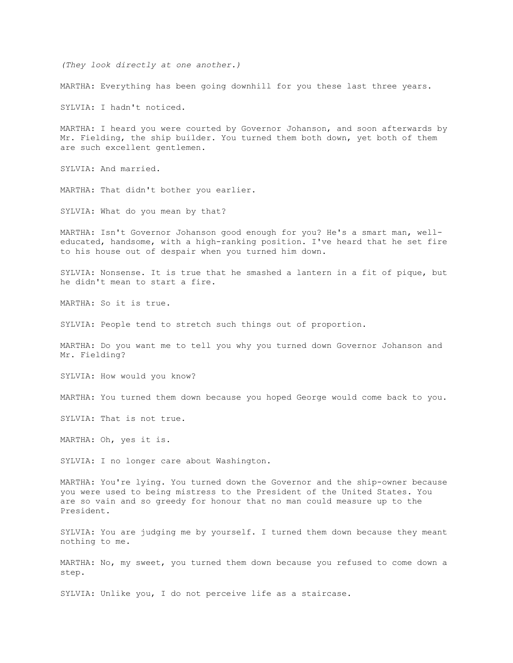*(They look directly at one another.)*

MARTHA: Everything has been going downhill for you these last three years.

SYLVIA: I hadn't noticed.

MARTHA: I heard you were courted by Governor Johanson, and soon afterwards by Mr. Fielding, the ship builder. You turned them both down, yet both of them are such excellent gentlemen.

SYLVIA: And married.

MARTHA: That didn't bother you earlier.

SYLVIA: What do you mean by that?

MARTHA: Isn't Governor Johanson good enough for you? He's a smart man, welleducated, handsome, with a high-ranking position. I've heard that he set fire to his house out of despair when you turned him down.

SYLVIA: Nonsense. It is true that he smashed a lantern in a fit of pique, but he didn't mean to start a fire.

MARTHA: So it is true.

SYLVIA: People tend to stretch such things out of proportion.

MARTHA: Do you want me to tell you why you turned down Governor Johanson and Mr. Fielding?

SYLVIA: How would you know?

MARTHA: You turned them down because you hoped George would come back to you.

SYLVIA: That is not true.

MARTHA: Oh, yes it is.

SYLVIA: I no longer care about Washington.

MARTHA: You're lying. You turned down the Governor and the ship-owner because you were used to being mistress to the President of the United States. You are so vain and so greedy for honour that no man could measure up to the President.

SYLVIA: You are judging me by yourself. I turned them down because they meant nothing to me.

MARTHA: No, my sweet, you turned them down because you refused to come down a step.

SYLVIA: Unlike you, I do not perceive life as a staircase.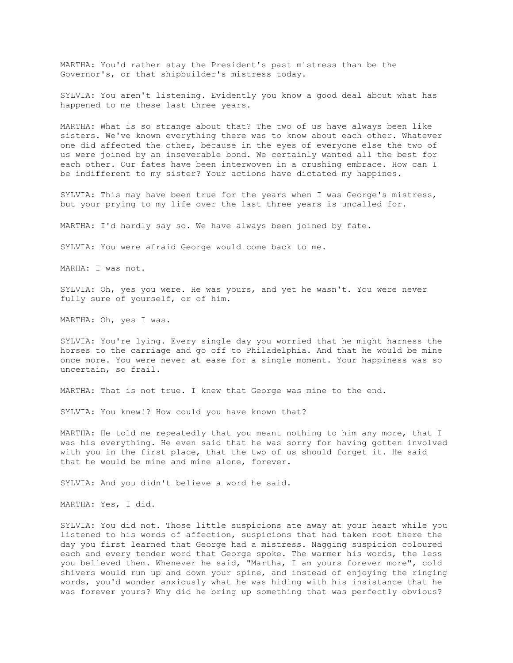MARTHA: You'd rather stay the President's past mistress than be the Governor's, or that shipbuilder's mistress today.

SYLVIA: You aren't listening. Evidently you know a good deal about what has happened to me these last three years.

MARTHA: What is so strange about that? The two of us have always been like sisters. We've known everything there was to know about each other. Whatever one did affected the other, because in the eyes of everyone else the two of us were joined by an inseverable bond. We certainly wanted all the best for each other. Our fates have been interwoven in a crushing embrace. How can I be indifferent to my sister? Your actions have dictated my happines.

SYLVIA: This may have been true for the years when I was George's mistress, but your prying to my life over the last three years is uncalled for.

MARTHA: I'd hardly say so. We have always been joined by fate.

SYLVIA: You were afraid George would come back to me.

MARHA: I was not.

SYLVIA: Oh, yes you were. He was yours, and yet he wasn't. You were never fully sure of yourself, or of him.

MARTHA: Oh, yes I was.

SYLVIA: You're lying. Every single day you worried that he might harness the horses to the carriage and go off to Philadelphia. And that he would be mine once more. You were never at ease for a single moment. Your happiness was so uncertain, so frail.

MARTHA: That is not true. I knew that George was mine to the end.

SYLVIA: You knew!? How could you have known that?

MARTHA: He told me repeatedly that you meant nothing to him any more, that I was his everything. He even said that he was sorry for having gotten involved with you in the first place, that the two of us should forget it. He said that he would be mine and mine alone, forever.

SYLVIA: And you didn't believe a word he said.

MARTHA: Yes, I did.

SYLVIA: You did not. Those little suspicions ate away at your heart while you listened to his words of affection, suspicions that had taken root there the day you first learned that George had a mistress. Nagging suspicion coloured each and every tender word that George spoke. The warmer his words, the less you believed them. Whenever he said, "Martha, I am yours forever more", cold shivers would run up and down your spine, and instead of enjoying the ringing words, you'd wonder anxiously what he was hiding with his insistance that he was forever yours? Why did he bring up something that was perfectly obvious?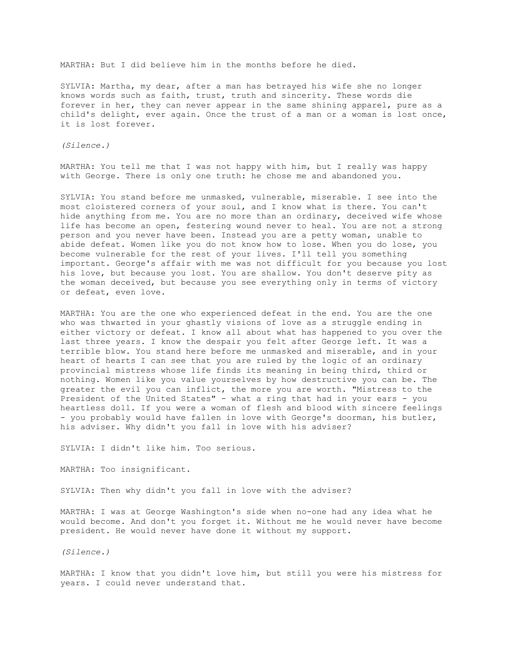MARTHA: But I did believe him in the months before he died.

SYLVIA: Martha, my dear, after a man has betrayed his wife she no longer knows words such as faith, trust, truth and sincerity. These words die forever in her, they can never appear in the same shining apparel, pure as a child's delight, ever again. Once the trust of a man or a woman is lost once, it is lost forever.

*(Silence.)*

MARTHA: You tell me that I was not happy with him, but I really was happy with George. There is only one truth: he chose me and abandoned you.

SYLVIA: You stand before me unmasked, vulnerable, miserable. I see into the most cloistered corners of your soul, and I know what is there. You can't hide anything from me. You are no more than an ordinary, deceived wife whose life has become an open, festering wound never to heal. You are not a strong person and you never have been. Instead you are a petty woman, unable to abide defeat. Women like you do not know how to lose. When you do lose, you become vulnerable for the rest of your lives. I'll tell you something important. George's affair with me was not difficult for you because you lost his love, but because you lost. You are shallow. You don't deserve pity as the woman deceived, but because you see everything only in terms of victory or defeat, even love.

MARTHA: You are the one who experienced defeat in the end. You are the one who was thwarted in your ghastly visions of love as a struggle ending in either victory or defeat. I know all about what has happened to you over the last three years. I know the despair you felt after George left. It was a terrible blow. You stand here before me unmasked and miserable, and in your heart of hearts I can see that you are ruled by the logic of an ordinary provincial mistress whose life finds its meaning in being third, third or nothing. Women like you value yourselves by how destructive you can be. The greater the evil you can inflict, the more you are worth. "Mistress to the President of the United States" - what a ring that had in your ears - you heartless doll. If you were a woman of flesh and blood with sincere feelings - you probably would have fallen in love with George's doorman, his butler, his adviser. Why didn't you fall in love with his adviser?

SYLVIA: I didn't like him. Too serious.

MARTHA: Too insignificant.

SYLVIA: Then why didn't you fall in love with the adviser?

MARTHA: I was at George Washington's side when no-one had any idea what he would become. And don't you forget it. Without me he would never have become president. He would never have done it without my support.

*(Silence.)*

MARTHA: I know that you didn't love him, but still you were his mistress for years. I could never understand that.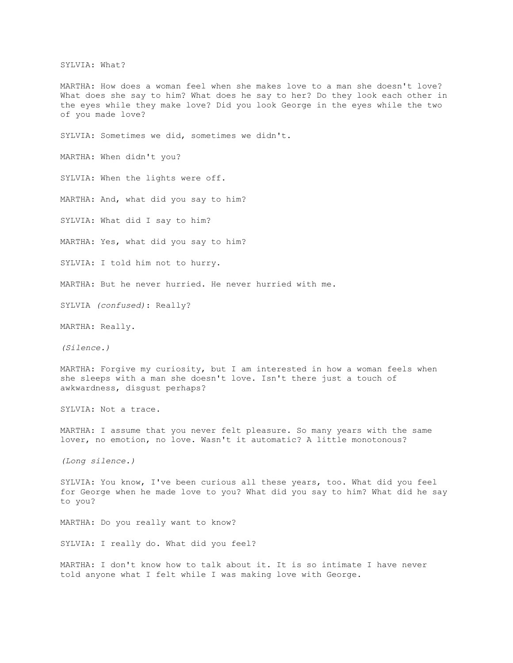SYLVIA: What?

MARTHA: How does a woman feel when she makes love to a man she doesn't love? What does she say to him? What does he say to her? Do they look each other in the eyes while they make love? Did you look George in the eyes while the two of you made love?

SYLVIA: Sometimes we did, sometimes we didn't.

MARTHA: When didn't you?

SYLVIA: When the lights were off.

MARTHA: And, what did you say to him?

SYLVIA: What did I say to him?

MARTHA: Yes, what did you say to him?

SYLVIA: I told him not to hurry.

MARTHA: But he never hurried. He never hurried with me.

SYLVIA *(confused)*: Really?

MARTHA: Really.

*(Silence.)*

MARTHA: Forgive my curiosity, but I am interested in how a woman feels when she sleeps with a man she doesn't love. Isn't there just a touch of awkwardness, disgust perhaps?

SYLVIA: Not a trace.

MARTHA: I assume that you never felt pleasure. So many years with the same lover, no emotion, no love. Wasn't it automatic? A little monotonous?

*(Long silence.)*

SYLVIA: You know, I've been curious all these years, too. What did you feel for George when he made love to you? What did you say to him? What did he say to you?

MARTHA: Do you really want to know?

SYLVIA: I really do. What did you feel?

MARTHA: I don't know how to talk about it. It is so intimate I have never told anyone what I felt while I was making love with George.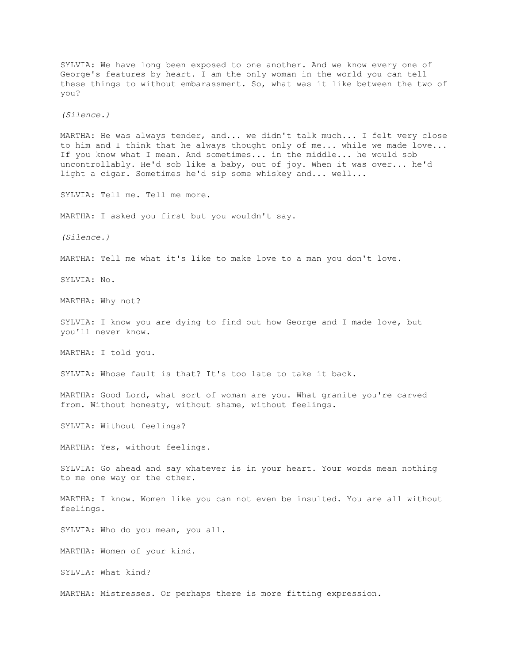SYLVIA: We have long been exposed to one another. And we know every one of George's features by heart. I am the only woman in the world you can tell these things to without embarassment. So, what was it like between the two of you? *(Silence.)* MARTHA: He was always tender, and... we didn't talk much... I felt very close to him and I think that he always thought only of me... while we made love... If you know what I mean. And sometimes... in the middle... he would sob uncontrollably. He'd sob like a baby, out of joy. When it was over... he'd light a cigar. Sometimes he'd sip some whiskey and... well... SYLVIA: Tell me. Tell me more. MARTHA: I asked you first but you wouldn't say. *(Silence.)* MARTHA: Tell me what it's like to make love to a man you don't love. SYLVIA: No. MARTHA: Why not? SYLVIA: I know you are dying to find out how George and I made love, but you'll never know. MARTHA: I told you. SYLVIA: Whose fault is that? It's too late to take it back. MARTHA: Good Lord, what sort of woman are you. What granite you're carved from. Without honesty, without shame, without feelings. SYLVIA: Without feelings? MARTHA: Yes, without feelings. SYLVIA: Go ahead and say whatever is in your heart. Your words mean nothing to me one way or the other. MARTHA: I know. Women like you can not even be insulted. You are all without feelings. SYLVIA: Who do you mean, you all. MARTHA: Women of your kind. SYLVIA: What kind? MARTHA: Mistresses. Or perhaps there is more fitting expression.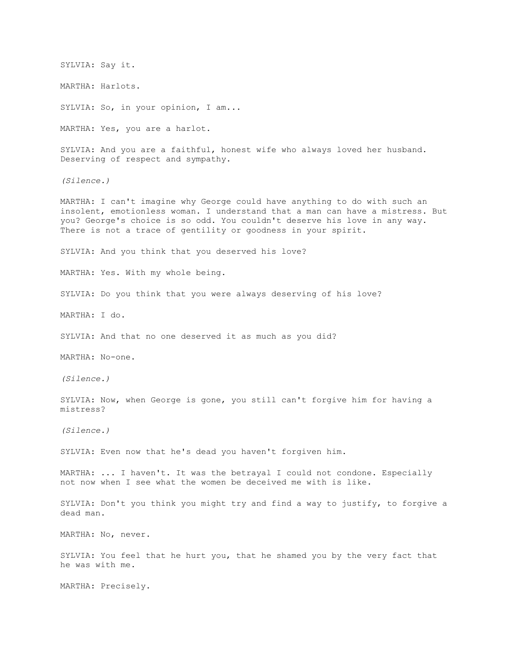SYLVIA: Say it. MARTHA: Harlots. SYLVIA: So, in your opinion, I am... MARTHA: Yes, you are a harlot. SYLVIA: And you are a faithful, honest wife who always loved her husband. Deserving of respect and sympathy. *(Silence.)* MARTHA: I can't imagine why George could have anything to do with such an insolent, emotionless woman. I understand that a man can have a mistress. But you? George's choice is so odd. You couldn't deserve his love in any way. There is not a trace of gentility or goodness in your spirit. SYLVIA: And you think that you deserved his love? MARTHA: Yes. With my whole being. SYLVIA: Do you think that you were always deserving of his love? MARTHA: I do. SYLVIA: And that no one deserved it as much as you did? MARTHA: No-one. *(Silence.)* SYLVIA: Now, when George is gone, you still can't forgive him for having a mistress? *(Silence.)* SYLVIA: Even now that he's dead you haven't forgiven him. MARTHA: ... I haven't. It was the betrayal I could not condone. Especially not now when I see what the women be deceived me with is like. SYLVIA: Don't you think you might try and find a way to justify, to forgive a dead man. MARTHA: No, never. SYLVIA: You feel that he hurt you, that he shamed you by the very fact that he was with me. MARTHA: Precisely.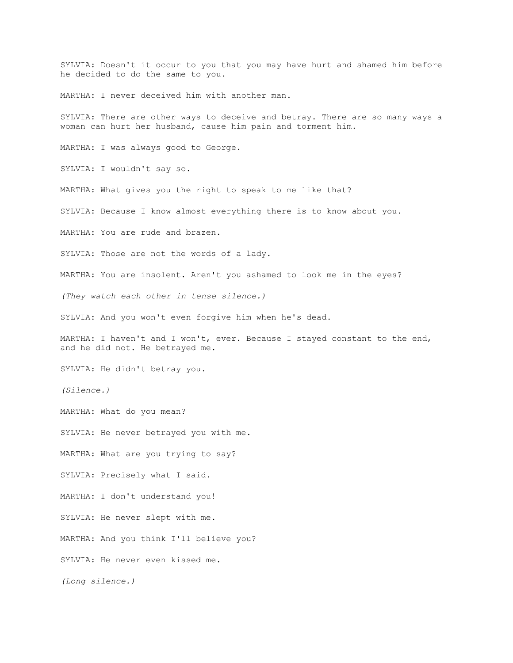SYLVIA: Doesn't it occur to you that you may have hurt and shamed him before he decided to do the same to you.

MARTHA: I never deceived him with another man.

SYLVIA: There are other ways to deceive and betray. There are so many ways a woman can hurt her husband, cause him pain and torment him.

MARTHA: I was always good to George.

SYLVIA: I wouldn't say so.

MARTHA: What gives you the right to speak to me like that?

SYLVIA: Because I know almost everything there is to know about you.

MARTHA: You are rude and brazen.

SYLVIA: Those are not the words of a lady.

MARTHA: You are insolent. Aren't you ashamed to look me in the eyes?

*(They watch each other in tense silence.)*

SYLVIA: And you won't even forgive him when he's dead.

MARTHA: I haven't and I won't, ever. Because I stayed constant to the end, and he did not. He betrayed me.

SYLVIA: He didn't betray you.

*(Silence.)*

MARTHA: What do you mean?

SYLVIA: He never betrayed you with me.

MARTHA: What are you trying to say?

SYLVIA: Precisely what I said.

MARTHA: I don't understand you!

SYLVIA: He never slept with me.

MARTHA: And you think I'll believe you?

SYLVIA: He never even kissed me.

*(Long silence.)*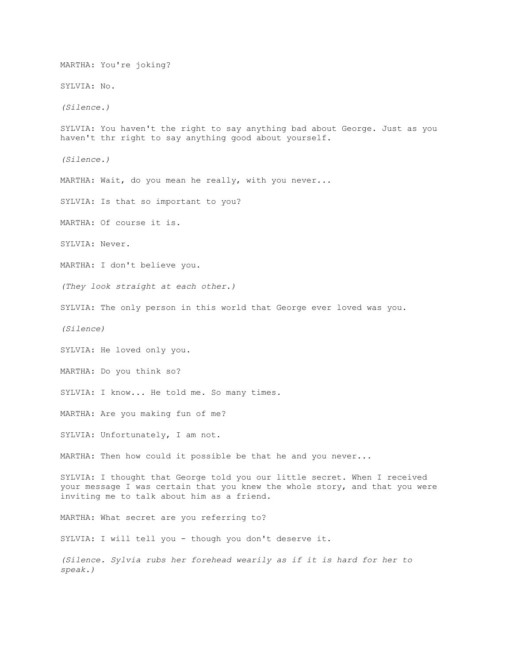MARTHA: You're joking? SYLVIA: No. *(Silence.)* SYLVIA: You haven't the right to say anything bad about George. Just as you haven't thr right to say anything good about yourself. *(Silence.)* MARTHA: Wait, do you mean he really, with you never... SYLVIA: Is that so important to you? MARTHA: Of course it is. SYLVIA: Never. MARTHA: I don't believe you. *(They look straight at each other.)* SYLVIA: The only person in this world that George ever loved was you. *(Silence)* SYLVIA: He loved only you. MARTHA: Do you think so? SYLVIA: I know... He told me. So many times. MARTHA: Are you making fun of me? SYLVIA: Unfortunately, I am not. MARTHA: Then how could it possible be that he and you never... SYLVIA: I thought that George told you our little secret. When I received your message I was certain that you knew the whole story, and that you were inviting me to talk about him as a friend. MARTHA: What secret are you referring to? SYLVIA: I will tell you - though you don't deserve it. *(Silence. Sylvia rubs her forehead wearily as if it is hard for her to speak.)*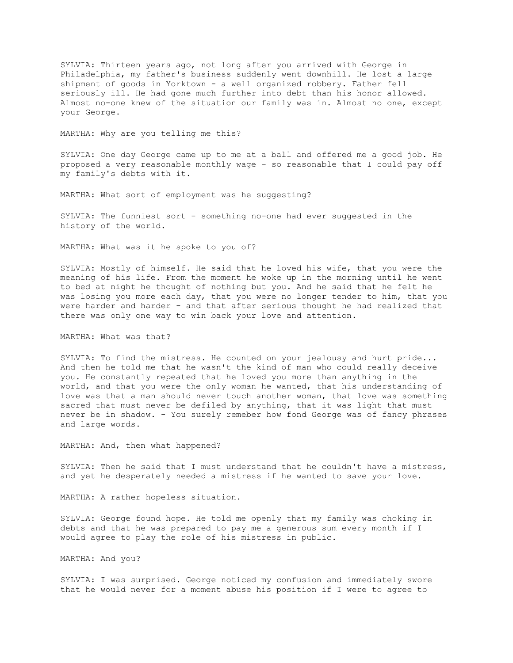SYLVIA: Thirteen years ago, not long after you arrived with George in Philadelphia, my father's business suddenly went downhill. He lost a large shipment of goods in Yorktown - a well organized robbery. Father fell seriously ill. He had gone much further into debt than his honor allowed. Almost no-one knew of the situation our family was in. Almost no one, except your George.

MARTHA: Why are you telling me this?

SYLVIA: One day George came up to me at a ball and offered me a good job. He proposed a very reasonable monthly wage - so reasonable that I could pay off my family's debts with it.

MARTHA: What sort of employment was he suggesting?

SYLVIA: The funniest sort - something no-one had ever suggested in the history of the world.

MARTHA: What was it he spoke to you of?

SYLVIA: Mostly of himself. He said that he loved his wife, that you were the meaning of his life. From the moment he woke up in the morning until he went to bed at night he thought of nothing but you. And he said that he felt he was losing you more each day, that you were no longer tender to him, that you were harder and harder - and that after serious thought he had realized that there was only one way to win back your love and attention.

MARTHA: What was that?

SYLVIA: To find the mistress. He counted on your jealousy and hurt pride... And then he told me that he wasn't the kind of man who could really deceive you. He constantly repeated that he loved you more than anything in the world, and that you were the only woman he wanted, that his understanding of love was that a man should never touch another woman, that love was something sacred that must never be defiled by anything, that it was light that must never be in shadow. - You surely remeber how fond George was of fancy phrases and large words.

MARTHA: And, then what happened?

SYLVIA: Then he said that I must understand that he couldn't have a mistress, and yet he desperately needed a mistress if he wanted to save your love.

MARTHA: A rather hopeless situation.

SYLVIA: George found hope. He told me openly that my family was choking in debts and that he was prepared to pay me a generous sum every month if I would agree to play the role of his mistress in public.

MARTHA: And you?

SYLVIA: I was surprised. George noticed my confusion and immediately swore that he would never for a moment abuse his position if I were to agree to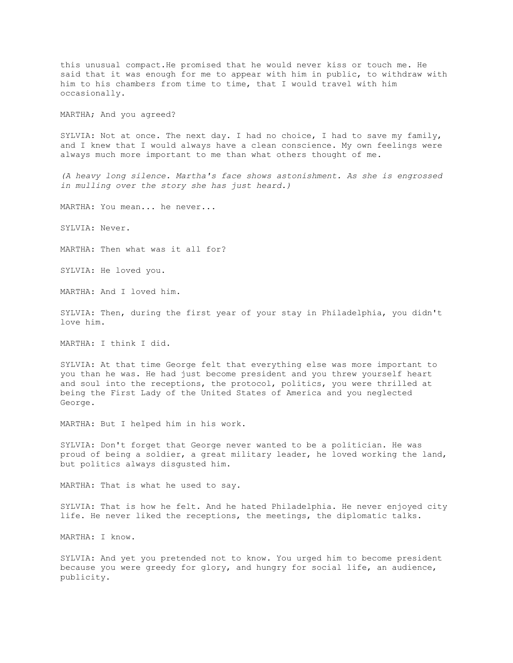this unusual compact.He promised that he would never kiss or touch me. He said that it was enough for me to appear with him in public, to withdraw with him to his chambers from time to time, that I would travel with him occasionally.

MARTHA; And you agreed?

SYLVIA: Not at once. The next day. I had no choice, I had to save my family, and I knew that I would always have a clean conscience. My own feelings were always much more important to me than what others thought of me.

*(A heavy long silence. Martha's face shows astonishment. As she is engrossed in mulling over the story she has just heard.)*

MARTHA: You mean... he never...

SYLVIA: Never.

MARTHA: Then what was it all for?

SYLVIA: He loved you.

MARTHA: And I loved him.

SYLVIA: Then, during the first year of your stay in Philadelphia, you didn't love him.

MARTHA: I think I did.

SYLVIA: At that time George felt that everything else was more important to you than he was. He had just become president and you threw yourself heart and soul into the receptions, the protocol, politics, you were thrilled at being the First Lady of the United States of America and you neglected George.

MARTHA: But I helped him in his work.

SYLVIA: Don't forget that George never wanted to be a politician. He was proud of being a soldier, a great military leader, he loved working the land, but politics always disgusted him.

MARTHA: That is what he used to say.

SYLVIA: That is how he felt. And he hated Philadelphia. He never enjoyed city life. He never liked the receptions, the meetings, the diplomatic talks.

MARTHA: I know.

SYLVIA: And yet you pretended not to know. You urged him to become president because you were greedy for glory, and hungry for social life, an audience, publicity.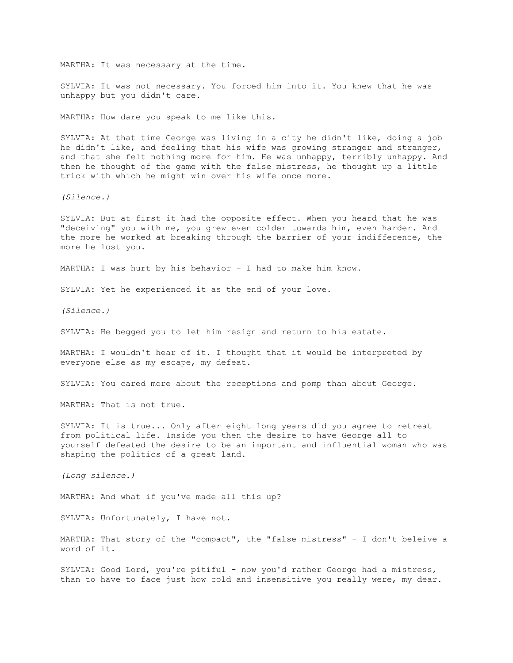MARTHA: It was necessary at the time.

SYLVIA: It was not necessary. You forced him into it. You knew that he was unhappy but you didn't care.

MARTHA: How dare you speak to me like this.

SYLVIA: At that time George was living in a city he didn't like, doing a job he didn't like, and feeling that his wife was growing stranger and stranger, and that she felt nothing more for him. He was unhappy, terribly unhappy. And then he thought of the game with the false mistress, he thought up a little trick with which he might win over his wife once more.

*(Silence.)*

SYLVIA: But at first it had the opposite effect. When you heard that he was "deceiving" you with me, you grew even colder towards him, even harder. And the more he worked at breaking through the barrier of your indifference, the more he lost you.

MARTHA: I was hurt by his behavior - I had to make him know.

SYLVIA: Yet he experienced it as the end of your love.

*(Silence.)*

SYLVIA: He begged you to let him resign and return to his estate.

MARTHA: I wouldn't hear of it. I thought that it would be interpreted by everyone else as my escape, my defeat.

SYLVIA: You cared more about the receptions and pomp than about George.

MARTHA: That is not true.

SYLVIA: It is true... Only after eight long years did you agree to retreat from political life. Inside you then the desire to have George all to yourself defeated the desire to be an important and influential woman who was shaping the politics of a great land.

*(Long silence.)*

MARTHA: And what if you've made all this up?

SYLVIA: Unfortunately, I have not.

MARTHA: That story of the "compact", the "false mistress" - I don't beleive a word of it.

SYLVIA: Good Lord, you're pitiful - now you'd rather George had a mistress, than to have to face just how cold and insensitive you really were, my dear.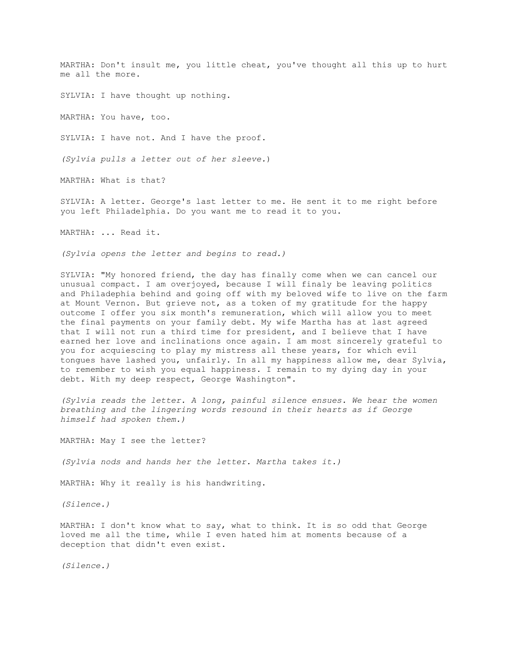MARTHA: Don't insult me, you little cheat, you've thought all this up to hurt me all the more.

SYLVIA: I have thought up nothing.

MARTHA: You have, too.

SYLVIA: I have not. And I have the proof.

*(Sylvia pulls a letter out of her sleeve.*)

MARTHA: What is that?

SYLVIA: A letter. George's last letter to me. He sent it to me right before you left Philadelphia. Do you want me to read it to you.

MARTHA: ... Read it.

*(Sylvia opens the letter and begins to read.)*

SYLVIA: "My honored friend, the day has finally come when we can cancel our unusual compact. I am overjoyed, because I will finaly be leaving politics and Philadephia behind and going off with my beloved wife to live on the farm at Mount Vernon. But grieve not, as a token of my gratitude for the happy outcome I offer you six month's remuneration, which will allow you to meet the final payments on your family debt. My wife Martha has at last agreed that I will not run a third time for president, and I believe that I have earned her love and inclinations once again. I am most sincerely grateful to you for acquiescing to play my mistress all these years, for which evil tongues have lashed you, unfairly. In all my happiness allow me, dear Sylvia, to remember to wish you equal happiness. I remain to my dying day in your debt. With my deep respect, George Washington".

*(Sylvia reads the letter. A long, painful silence ensues. We hear the women breathing and the lingering words resound in their hearts as if George himself had spoken them.)*

MARTHA: May I see the letter?

*(Sylvia nods and hands her the letter. Martha takes it.)*

MARTHA: Why it really is his handwriting.

*(Silence.)*

MARTHA: I don't know what to say, what to think. It is so odd that George loved me all the time, while I even hated him at moments because of a deception that didn't even exist.

*(Silence.)*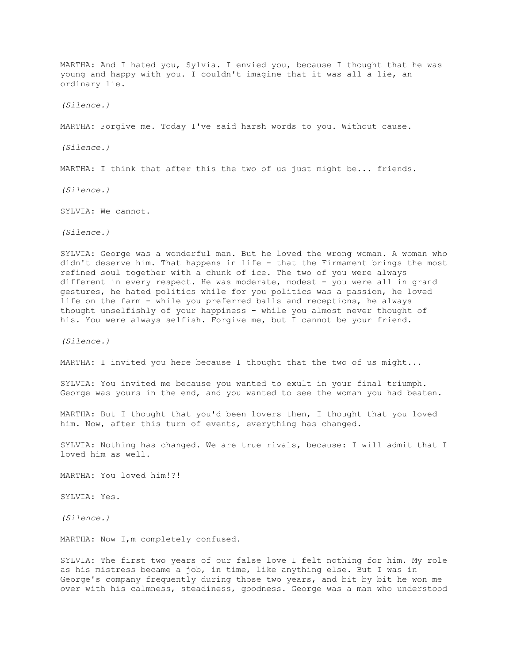MARTHA: And I hated you, Sylvia. I envied you, because I thought that he was young and happy with you. I couldn't imagine that it was all a lie, an ordinary lie.

*(Silence.)*

MARTHA: Forgive me. Today I've said harsh words to you. Without cause.

*(Silence.)*

MARTHA: I think that after this the two of us just might be... friends.

*(Silence.)*

SYLVIA: We cannot.

*(Silence.)*

SYLVIA: George was a wonderful man. But he loved the wrong woman. A woman who didn't deserve him. That happens in life - that the Firmament brings the most refined soul together with a chunk of ice. The two of you were always different in every respect. He was moderate, modest - you were all in grand gestures, he hated politics while for you politics was a passion, he loved life on the farm - while you preferred balls and receptions, he always thought unselfishly of your happiness - while you almost never thought of his. You were always selfish. Forgive me, but I cannot be your friend.

*(Silence.)*

MARTHA: I invited you here because I thought that the two of us might...

SYLVIA: You invited me because you wanted to exult in your final triumph. George was yours in the end, and you wanted to see the woman you had beaten.

MARTHA: But I thought that you'd been lovers then, I thought that you loved him. Now, after this turn of events, everything has changed.

SYLVIA: Nothing has changed. We are true rivals, because: I will admit that I loved him as well.

MARTHA: You loved him!?!

SYLVIA: Yes.

*(Silence.)*

MARTHA: Now I, m completely confused.

SYLVIA: The first two years of our false love I felt nothing for him. My role as his mistress became a job, in time, like anything else. But I was in George's company frequently during those two years, and bit by bit he won me over with his calmness, steadiness, goodness. George was a man who understood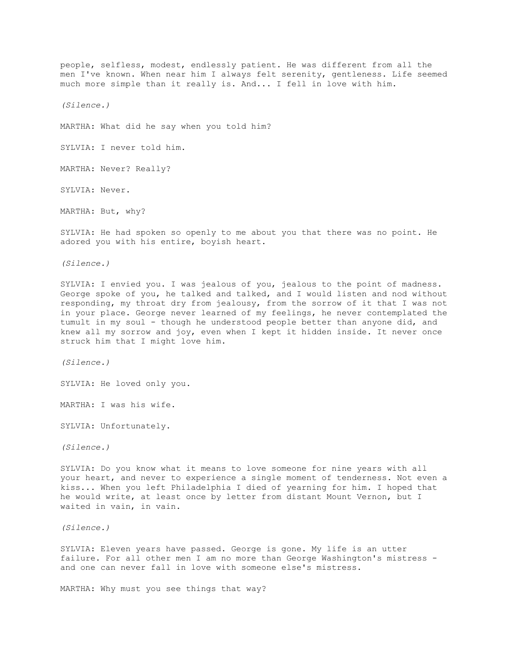people, selfless, modest, endlessly patient. He was different from all the men I've known. When near him I always felt serenity, gentleness. Life seemed much more simple than it really is. And... I fell in love with him.

*(Silence.)*

MARTHA: What did he say when you told him?

SYLVIA: I never told him.

MARTHA: Never? Really?

SYLVIA: Never.

MARTHA: But, why?

SYLVIA: He had spoken so openly to me about you that there was no point. He adored you with his entire, boyish heart.

*(Silence.)*

SYLVIA: I envied you. I was jealous of you, jealous to the point of madness. George spoke of you, he talked and talked, and I would listen and nod without responding, my throat dry from jealousy, from the sorrow of it that I was not in your place. George never learned of my feelings, he never contemplated the tumult in my soul - though he understood people better than anyone did, and knew all my sorrow and joy, even when I kept it hidden inside. It never once struck him that I might love him.

*(Silence.)*

SYLVIA: He loved only you.

MARTHA: I was his wife.

SYLVIA: Unfortunately.

*(Silence.)*

SYLVIA: Do you know what it means to love someone for nine years with all your heart, and never to experience a single moment of tenderness. Not even a kiss... When you left Philadelphia I died of yearning for him. I hoped that he would write, at least once by letter from distant Mount Vernon, but I waited in vain, in vain.

*(Silence.)*

SYLVIA: Eleven years have passed. George is gone. My life is an utter failure. For all other men I am no more than George Washington's mistress and one can never fall in love with someone else's mistress.

MARTHA: Why must you see things that way?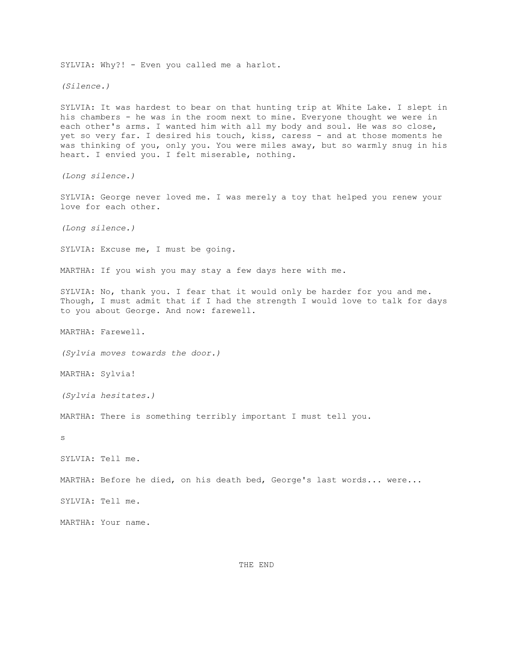SYLVIA: Why?! - Even you called me a harlot. *(Silence.)* SYLVIA: It was hardest to bear on that hunting trip at White Lake. I slept in his chambers - he was in the room next to mine. Everyone thought we were in each other's arms. I wanted him with all my body and soul. He was so close, yet so very far. I desired his touch, kiss, caress - and at those moments he was thinking of you, only you. You were miles away, but so warmly snug in his heart. I envied you. I felt miserable, nothing. *(Long silence.)* SYLVIA: George never loved me. I was merely a toy that helped you renew your love for each other. *(Long silence.)* SYLVIA: Excuse me, I must be going. MARTHA: If you wish you may stay a few days here with me. SYLVIA: No, thank you. I fear that it would only be harder for you and me. Though, I must admit that if I had the strength I would love to talk for days to you about George. And now: farewell. MARTHA: Farewell. *(Sylvia moves towards the door.)* MARTHA: Sylvia! *(Sylvia hesitates.)* MARTHA: There is something terribly important I must tell you. s SYLVIA: Tell me. MARTHA: Before he died, on his death bed, George's last words... were... SYLVIA: Tell me. MARTHA: Your name.